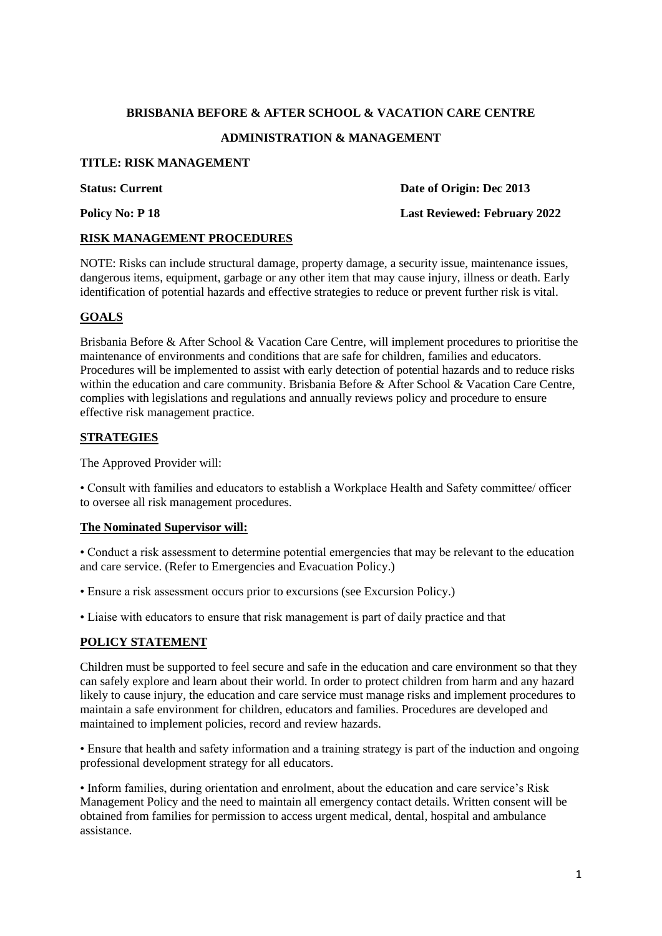# **BRISBANIA BEFORE & AFTER SCHOOL & VACATION CARE CENTRE ADMINISTRATION & MANAGEMENT**

## **TITLE: RISK MANAGEMENT**

**Status: Current Date of Origin: Dec 2013** 

#### **Policy No: P 18 Last Reviewed: February 2022**

## **RISK MANAGEMENT PROCEDURES**

NOTE: Risks can include structural damage, property damage, a security issue, maintenance issues, dangerous items, equipment, garbage or any other item that may cause injury, illness or death. Early identification of potential hazards and effective strategies to reduce or prevent further risk is vital.

# **GOALS**

Brisbania Before & After School & Vacation Care Centre, will implement procedures to prioritise the maintenance of environments and conditions that are safe for children, families and educators. Procedures will be implemented to assist with early detection of potential hazards and to reduce risks within the education and care community. Brisbania Before & After School & Vacation Care Centre, complies with legislations and regulations and annually reviews policy and procedure to ensure effective risk management practice.

## **STRATEGIES**

The Approved Provider will:

• Consult with families and educators to establish a Workplace Health and Safety committee/ officer to oversee all risk management procedures.

#### **The Nominated Supervisor will:**

• Conduct a risk assessment to determine potential emergencies that may be relevant to the education and care service. (Refer to Emergencies and Evacuation Policy.)

• Ensure a risk assessment occurs prior to excursions (see Excursion Policy.)

• Liaise with educators to ensure that risk management is part of daily practice and that

# **POLICY STATEMENT**

Children must be supported to feel secure and safe in the education and care environment so that they can safely explore and learn about their world. In order to protect children from harm and any hazard likely to cause injury, the education and care service must manage risks and implement procedures to maintain a safe environment for children, educators and families. Procedures are developed and maintained to implement policies, record and review hazards.

• Ensure that health and safety information and a training strategy is part of the induction and ongoing professional development strategy for all educators.

• Inform families, during orientation and enrolment, about the education and care service's Risk Management Policy and the need to maintain all emergency contact details. Written consent will be obtained from families for permission to access urgent medical, dental, hospital and ambulance assistance.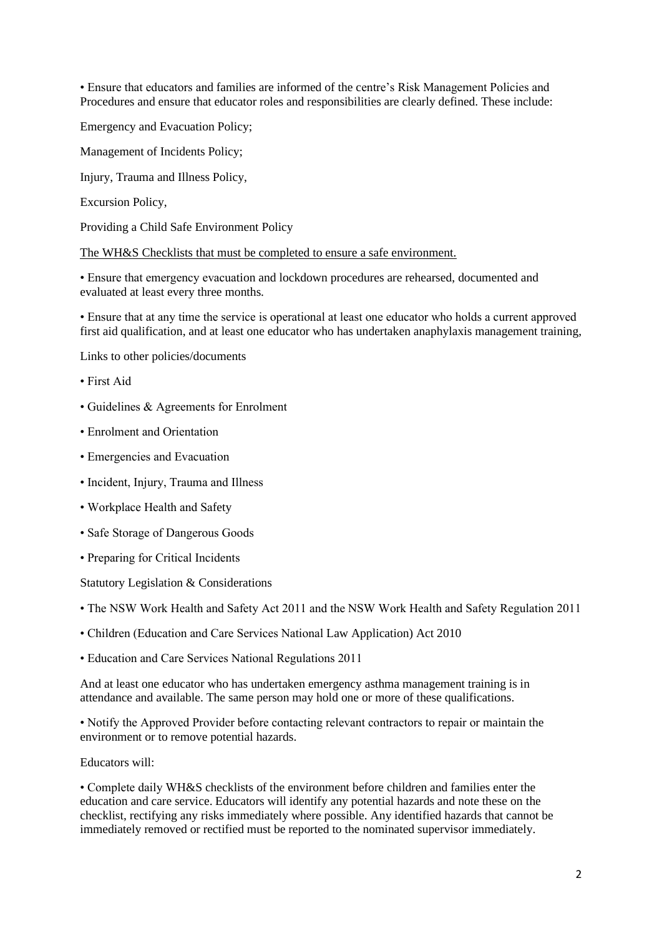• Ensure that educators and families are informed of the centre's Risk Management Policies and Procedures and ensure that educator roles and responsibilities are clearly defined. These include:

Emergency and Evacuation Policy;

Management of Incidents Policy;

Injury, Trauma and Illness Policy,

Excursion Policy,

Providing a Child Safe Environment Policy

The WH&S Checklists that must be completed to ensure a safe environment.

• Ensure that emergency evacuation and lockdown procedures are rehearsed, documented and evaluated at least every three months.

• Ensure that at any time the service is operational at least one educator who holds a current approved first aid qualification, and at least one educator who has undertaken anaphylaxis management training,

Links to other policies/documents

- First Aid
- Guidelines & Agreements for Enrolment
- Enrolment and Orientation
- Emergencies and Evacuation
- Incident, Injury, Trauma and Illness
- Workplace Health and Safety
- Safe Storage of Dangerous Goods
- Preparing for Critical Incidents

Statutory Legislation & Considerations

• The NSW Work Health and Safety Act 2011 and the NSW Work Health and Safety Regulation 2011

• Children (Education and Care Services National Law Application) Act 2010

• Education and Care Services National Regulations 2011

And at least one educator who has undertaken emergency asthma management training is in attendance and available. The same person may hold one or more of these qualifications.

• Notify the Approved Provider before contacting relevant contractors to repair or maintain the environment or to remove potential hazards.

Educators will:

• Complete daily WH&S checklists of the environment before children and families enter the education and care service. Educators will identify any potential hazards and note these on the checklist, rectifying any risks immediately where possible. Any identified hazards that cannot be immediately removed or rectified must be reported to the nominated supervisor immediately.